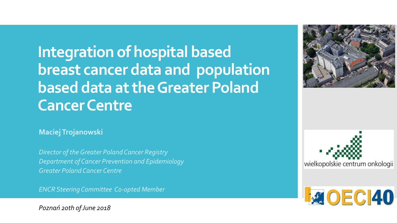**Integration of hospital based breast cancer data and population based data at the Greater Poland Cancer Centre**

**Maciej Trojanowski**

*Director of the Greater Poland Cancer Registry Department of Cancer Prevention and Epidemiology Greater Poland Cancer Centre*

*ENCR Steering Committee Co-opted Member*

*Poznań 20th of June 2018*





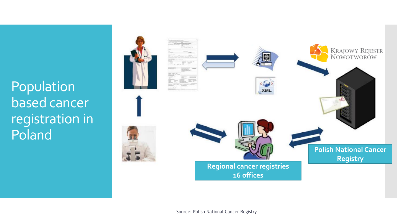### Population based cancer registration in Poland



Source: Polish National Cancer Registry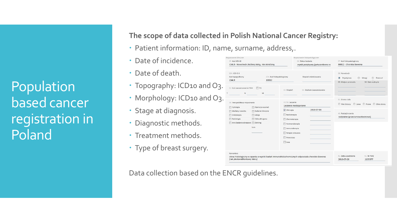Population based cancer registration in Poland

#### **The scope of data collected in Polish National Cancer Registry:**

- Patient information: ID, name, surname, address,.
- Date of incidence.
- Date of death.
- Topography: ICD10 and O3.
- Morphology: ICD10 and O3.
- Stage at diagnosis.
- Diagnostic methods.
- Treatment methods.
- Type of breast surgery.

| Rozpoznanie kliniczne                          |                                            | Rozpoznanie histopatologiczne                                                                 |                                                                                         |  |  |
|------------------------------------------------|--------------------------------------------|-----------------------------------------------------------------------------------------------|-----------------------------------------------------------------------------------------|--|--|
| 25. Kod ICD-10                                 |                                            | 26. Status badania                                                                            | 27. Kod histopatologiczny                                                               |  |  |
| C44.9 - Nowotwór złośliwy skóry, nie określony |                                            | wynik pozytywny (potwierdzono nc                                                              | 80812 - Choroba Bowena                                                                  |  |  |
| 25A. ICD-O-3<br>Kod topograficzny              | 27A. Kod histopatologiczny                 | Stopień zróżnicowania                                                                         | 28. Nowotwór<br>$\odot$<br>$\odot$<br>$\circledcirc$<br>Pojedynczy<br>Przerzut<br>Mnogi |  |  |
| C44.9                                          | 80812                                      |                                                                                               | 30. Data wykrycia<br>29. Miejsce przerzutu                                              |  |  |
| 32. Kod zaawansowania TNM<br>N<br>T            | $\Box$ TIS<br>M                            | 35. Stadium zaawansowania<br>34. Stopień                                                      |                                                                                         |  |  |
| 36. Inne podstawy rozpoznania                  |                                            | 37/38. Leczenie<br>Leczenie nieskojarzone                                                     | 31. Strona ciała<br>© Nie dotyczy © Lewa © Prawa © Obie strony                          |  |  |
| Cytologia<br>Markery nowotw.                   | Operacja wywiad.<br>同<br>Badanie kliniczne | 2016-07-06<br>Chirurgia                                                                       |                                                                                         |  |  |
| Endoskopia                                     | Sekcja                                     | Radioterapia                                                                                  | 40. Rodzaj leczenia                                                                     |  |  |
| Radiologia                                     | Tylko akt zgonu                            | Chemioterapia                                                                                 | radykalne (przeciwnowotworowe)                                                          |  |  |
| Inne badanie obrazowe Skrining                 |                                            | Hormonoterapia                                                                                |                                                                                         |  |  |
|                                                | tura                                       | Immunoterapia                                                                                 |                                                                                         |  |  |
|                                                |                                            | Terapia celowana                                                                              |                                                                                         |  |  |
|                                                |                                            | Przeszczep<br>Inne                                                                            |                                                                                         |  |  |
| Komentarz                                      |                                            |                                                                                               |                                                                                         |  |  |
| (rak płaskonabłonkowy skóry)                   |                                            | obraz histologiczny w oparciu o wyniki badań immunohistochemicznych odpowiada chorobie Bowena | 41. Data wypełnienia<br>42. Nr PWZ<br>2016-07-26<br>1135377                             |  |  |

Data collection based on the ENCR guidelines.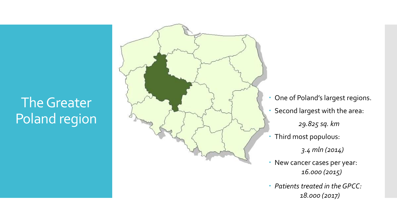### The Greater Poland region



- One of Poland's largest regions.
- Second largest with the area:

*29.825 sq. km*

Third most populous:

*3.4 mln (2014)*

- New cancer cases per year: *16.000 (2015)*
- *Patients treated in the GPCC : 18.000 (2017)*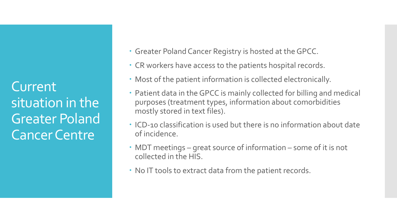Current situation in the Greater Poland Cancer Centre

- Greater Poland Cancer Registry is hosted at the GPCC.
- CR workers have access to the patients hospital records.
- Most of the patient information is collected electronically.
- Patient data in the GPCC is mainly collected for billing and medical purposes (treatment types, information about comorbidities mostly stored in text files).
- ICD-10 classification is used but there is no information about date of incidence.
- MDT meetings great source of information some of it is not collected in the HIS.
- No IT tools to extract data from the patient records.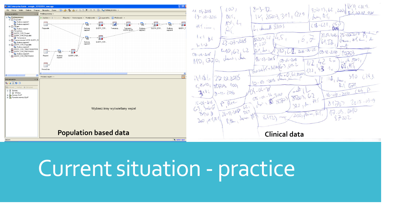

# Current situation - practice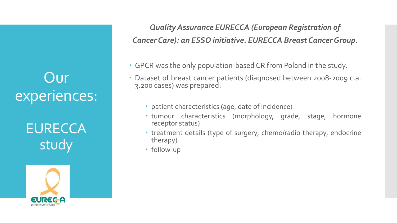**EURECCA** study



*Quality Assurance EURECCA (European Registration of Cancer Care): an ESSO initiative. EURECCA Breast Cancer Group.*

- GPCR was the only population-based CR from Poland in the study.
- Dataset of breast cancer patients (diagnosed between 2008-2009 c.a. 3.200 cases) was prepared:
	- patient characteristics (age, date of incidence)
	- tumour characteristics (morphology, grade, stage, hormone receptor status)
	- treatment details (type of surgery, chemo/radio therapy, endocrine therapy)
	- follow-up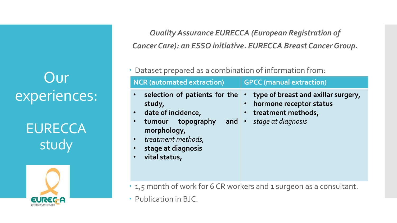**EURECCA** study



*Quality Assurance EURECCA (European Registration of Cancer Care): an ESSO initiative. EURECCA Breast CancerGroup.*

#### Dataset prepared as a combination of information from:

| <b>NCR</b> (automated extraction)                                                                                                                              | <b>GPCC</b> (manual extraction)                                                                                                   |
|----------------------------------------------------------------------------------------------------------------------------------------------------------------|-----------------------------------------------------------------------------------------------------------------------------------|
| selection of patients for the<br>study,<br>date of incidence,<br>tumour topography<br>morphology,<br>treatment methods,<br>stage at diagnosis<br>vital status, | $\cdot$ type of breast and axillar surgery,<br>hormone receptor status<br>• treatment methods,<br><b>and</b> • stage at diagnosis |

- 1,5 month of work for 6 CR workers and 1 surgeon as a consultant.
- Publication in BJC.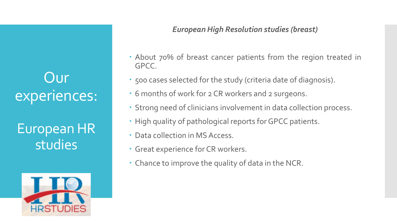European HR studies



#### *European High Resolution studies (breast)*

- About 70% of breast cancer patients from the region treated in GPCC.
- 500 cases selected for the study (criteria date of diagnosis).
- 6 months of work for 2 CR workers and 2 surgeons.
- Strong need of clinicians involvement in data collection process.
- High quality of pathological reports for GPCC patients.
- Data collection in MS Access.
- Great experience for CR workers.
- Chance to improve the quality of data in the NCR.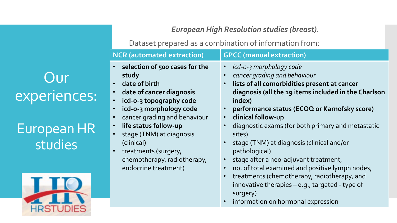European HR studies



*European High Resolution studies (breast)*.

Dataset prepared as a combination of information from:

| <b>NCR</b> (automated extraction)                                                                                                                                                                                                                                                                                                                                                                                                      | <b>GPCC (manual extraction)</b>                                                                                                                                                                                                                                                                                                                                                                                                                                                                                                                                                                                                                                                                                                                   |
|----------------------------------------------------------------------------------------------------------------------------------------------------------------------------------------------------------------------------------------------------------------------------------------------------------------------------------------------------------------------------------------------------------------------------------------|---------------------------------------------------------------------------------------------------------------------------------------------------------------------------------------------------------------------------------------------------------------------------------------------------------------------------------------------------------------------------------------------------------------------------------------------------------------------------------------------------------------------------------------------------------------------------------------------------------------------------------------------------------------------------------------------------------------------------------------------------|
| $\bullet$<br>selection of 500 cases for the<br>study<br>· date of birth<br>$\bullet$<br>date of cancer diagnosis<br>$\bullet$<br>icd-o-3 topography code<br>icd-o-3 morphology code<br>$\bullet$<br>cancer grading and behaviour<br>$\bullet$<br>life status follow-up<br>$\bullet$<br>stage (TNM) at diagnosis<br>$\bullet$<br>(clinical)<br>$\bullet$<br>treatments (surgery,<br>chemotherapy, radiotherapy,<br>endocrine treatment) | icd-o-3 morphology code<br>$\bullet$<br>cancer grading and behaviour<br>$\bullet$<br>lists of all comorbidities present at cancer<br>$\bullet$<br>diagnosis (all the 19 items included in the Charlson<br>index)<br>performance status (ECOQ or Karnofsky score)<br>$\bullet$<br>clinical follow-up<br>$\bullet$<br>diagnostic exams (for both primary and metastatic<br>$\bullet$<br>sites)<br>stage (TNM) at diagnosis (clinical and/or<br>pathological)<br>stage after a neo-adjuvant treatment,<br>no. of total examined and positive lymph nodes,<br>$\bullet$<br>treatments (chemotherapy, radiotherapy, and<br>$\bullet$<br>innovative therapies - e.g., targeted - type of<br>surgery)<br>information on hormonal expression<br>$\bullet$ |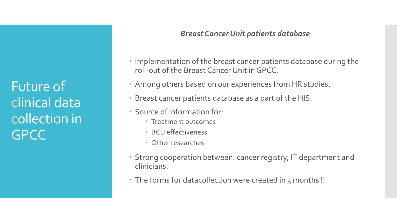#### *Breast Cancer Unit patients database*

- Implementation of the breast cancer patients database during the roll-out of the Breast Cancer Unit in GPCC.
- Among others based on our experiences from HR studies.
- Breast cancer patients database as a part of the HIS.
- Source of information for:
	- Treatment outcomes
	- BCU effectiveness
	- Other researches.
- Strong cooperation between: cancer registry, IT department and clinicians.
- The forms for datacollection were created in 3 months !!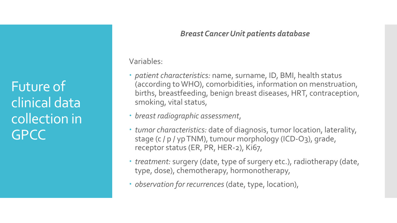#### *Breast Cancer Unit patients database*

Variables:

- *patient characteristics:* name, surname, ID, BMI, health status (according to WHO), comorbidities, information on menstruation, births, breastfeeding, benign breast diseases, HRT, contraception, smoking, vital status,
- *breast radiographic assessment*,
- *tumor characteristics:* date of diagnosis, tumor location, laterality, stage (c / p / yp TNM), tumour morphology (ICD-O3), grade, receptor status (ER, PR, HER-2), Ki67,
- *treatment:* surgery (date, type of surgery etc.), radiotherapy (date, type, dose), chemotherapy, hormonotherapy*,*
- *observation for recurrences* (date, type, location),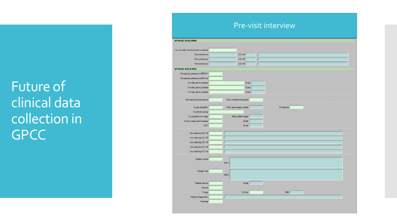#### Pre-visit interview

| WYWIAD RODZINNY                                     |                                  |             |
|-----------------------------------------------------|----------------------------------|-------------|
|                                                     |                                  |             |
| Czy choroby nowotworowe w rodzinie:                 |                                  |             |
| Pokrewieństwo:                                      | $ CD-10:$                        |             |
| Pokrewieństwo:                                      | $ CD-10:$                        |             |
| Pokrewieństwo:                                      | $ CD-10:$                        |             |
| <b>WYWIAD PACJENTA</b>                              |                                  |             |
| Obciążenie genetyczne BRCA1:                        |                                  |             |
| Obciążenie genetyczne BRCA2:                        |                                  |             |
| Choroby piersi przebyte:                            | Data:                            |             |
| Choroby piersi przebyte:                            | Data:                            |             |
| Choroby piersi przebyte:                            | Data:                            |             |
|                                                     |                                  |             |
| Wiek pierwszej miesiączki:                          | Data ostatniej miesiączki:       |             |
| Liczba porodów:                                     | Wiek pierwszego porodu:          | Poronienia: |
| Karmienie piersią:                                  |                                  |             |
|                                                     |                                  |             |
| Czy pacjentka w ciąży:<br>Antykoncepcja hormonalna: | Który tydzień ciąży:<br>lle lat: |             |
| HTZ:                                                | lle lat:                         |             |
|                                                     |                                  |             |
| Inne choroby ICD-10:                                |                                  |             |
| Inne choroby ICD-10:                                |                                  |             |
| Inne choroby ICD-10:                                |                                  |             |
| Inne choroby ICD-10:                                |                                  |             |
| Inne choroby ICD-10:                                |                                  |             |
|                                                     |                                  |             |
| Alergie na leki:                                    |                                  |             |
|                                                     | Jakie:                           |             |
| Alergie Inne:                                       |                                  |             |
|                                                     | Jakie:                           |             |
|                                                     |                                  |             |
| Palenie tytoniu:                                    | lle lat:                         |             |
| Używki:                                             |                                  |             |
| Waga:                                               | Wzrost:                          | BMI         |
| Miejsce diagnostyki:                                |                                  |             |
| Skryning:                                           |                                  |             |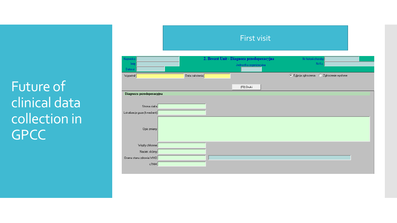| Nazwisko<br>Imie<br>Data ur. |                | 2. Breast Unit - Diagnoza przedoperacyjna<br>Jednostka organizacyjna | Nr historii choroby<br>Nr Ks.               |
|------------------------------|----------------|----------------------------------------------------------------------|---------------------------------------------|
| Wypełnił                     | Data założenia |                                                                      | C Zgłoszenie wysłane<br>© Edvoja zgłoszenia |
|                              |                | (F8) Druki                                                           |                                             |
| Diagnoza przedoperacyjna     |                |                                                                      |                                             |
| Strona ciała                 |                |                                                                      |                                             |
| Lokalizacja guza (kwadrant)  |                |                                                                      |                                             |
| Opis zmiany                  |                |                                                                      |                                             |
| Węzły chłonne                |                |                                                                      |                                             |
| Naciek skórny                |                |                                                                      |                                             |
| Ocena stanu zdrowia WHO      |                |                                                                      |                                             |
| cTNM                         |                |                                                                      |                                             |

First visit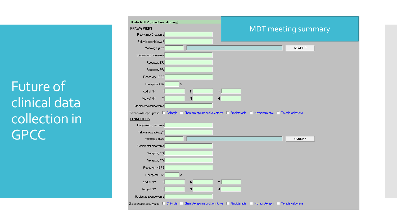| <b>PRAWA PIERS</b>                                                                                                    |                            |   | <b>MDT</b> meeting summary |          |  |
|-----------------------------------------------------------------------------------------------------------------------|----------------------------|---|----------------------------|----------|--|
| Radykalność leczenia                                                                                                  |                            |   |                            |          |  |
| Rak wieloogniskowy?                                                                                                   |                            |   |                            |          |  |
| Morfologia guza                                                                                                       |                            |   |                            | Wynik HP |  |
| Stopień zróżnicowania                                                                                                 |                            |   |                            |          |  |
| Receptory ER                                                                                                          |                            |   |                            |          |  |
| Receptory PR                                                                                                          |                            |   |                            |          |  |
| Receptory HER2                                                                                                        |                            |   |                            |          |  |
| Receptory Ki67                                                                                                        | $\boldsymbol{\mathcal{Z}}$ |   |                            |          |  |
| Kod pTNM<br> T                                                                                                        | N                          | M |                            |          |  |
| Kod ypTNM<br>Τ                                                                                                        | N                          | M |                            |          |  |
|                                                                                                                       |                            |   |                            |          |  |
| Stopień zaawansowania                                                                                                 |                            |   |                            |          |  |
| Zalecenia terapeutyczne   Chirurgia   Chemioterapia neoadjuwantowa   Radioterapia   Hormonoterapia   Terapia celowana |                            |   |                            |          |  |
| LEWA PIERŚ                                                                                                            |                            |   |                            |          |  |
| Radykalność leczenia                                                                                                  |                            |   |                            |          |  |
| Rak wieloogniskowy?                                                                                                   |                            |   |                            |          |  |
| Morfologia guza                                                                                                       |                            |   |                            | Wynik HP |  |
| Stopień zróżnicowania                                                                                                 |                            |   |                            |          |  |
| Receptory ER                                                                                                          |                            |   |                            |          |  |
| Receptory PR                                                                                                          |                            |   |                            |          |  |
| Receptory HER2                                                                                                        |                            |   |                            |          |  |
| Receptory Ki67                                                                                                        | $\%$                       |   |                            |          |  |
| Kod pTNM<br>$\mathsf{L}$                                                                                              | N                          | M |                            |          |  |
| Kod ypTNM<br>Τ                                                                                                        | N                          | M |                            |          |  |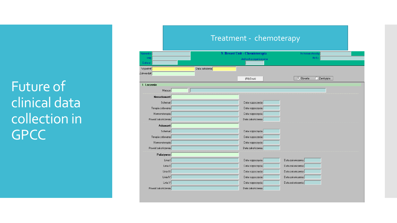| Nazwisko          |                | 3. Breast Unit - Chemioterapia | Nr historii choroby             |  |  |  |  |
|-------------------|----------------|--------------------------------|---------------------------------|--|--|--|--|
| Imie              |                | Jednostka organizacyjna        | Nr Ks.                          |  |  |  |  |
| Data ur.          |                |                                |                                 |  |  |  |  |
| Wypełnił          | Data założenia |                                |                                 |  |  |  |  |
| Zatwierdził       |                |                                | <b>C</b> Otwarta<br>C Zamknięta |  |  |  |  |
|                   |                | (F8) Druki                     |                                 |  |  |  |  |
| 1. Leczenie       |                |                                |                                 |  |  |  |  |
| Miejsce           |                |                                |                                 |  |  |  |  |
| Neoadiuwant       |                |                                |                                 |  |  |  |  |
| Schemat           |                | Data rozpoczęcia               |                                 |  |  |  |  |
| Terapia celowana  |                | Data rozpoczęcia               |                                 |  |  |  |  |
| Hormonoterapia    |                | Data rozpoczęcia               |                                 |  |  |  |  |
| Powód zakończenia |                | Data zakończenia               |                                 |  |  |  |  |
| Adiuwant          |                |                                |                                 |  |  |  |  |
| Schemat           |                | Data rozpoczęcia               |                                 |  |  |  |  |
| Terapia celowana  |                | Data rozpoczęcia               |                                 |  |  |  |  |
| Hormonoterapia    |                | Data rozpoczęcia               |                                 |  |  |  |  |
| Powód zakończenia |                | Data zakończenia               |                                 |  |  |  |  |
| Paliatywne        |                |                                |                                 |  |  |  |  |
| Linia I           |                | Data rozpoczęcia               | Data zakończenia                |  |  |  |  |
| Linia II          |                | Data rozpoczęcia               | Data zakończenia                |  |  |  |  |
| Linia III         |                | Data rozpoczęcia               | Data zakończenia                |  |  |  |  |
| Linia IV          |                | Data rozpoczęcia               | Data zakończenia                |  |  |  |  |
| Linia V           |                | Data rozpoczęcia               | Data zakończenia                |  |  |  |  |
| Powód zakończenia |                | Data zakończenia               |                                 |  |  |  |  |

#### Treatment - chemoterapy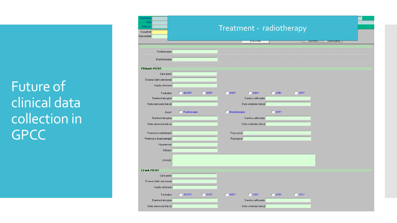| Imię<br>Data ur.<br>Wypełnił<br>Zatwierdził |              | Treatment - radiotherapy |                 |                        |             |                     |                       |  |
|---------------------------------------------|--------------|--------------------------|-----------------|------------------------|-------------|---------------------|-----------------------|--|
|                                             |              |                          |                 | <b>IFBJ</b> Druki      |             | <u>i se nëndara</u> | <u>ie caminina i </u> |  |
| Radioterapia                                |              |                          |                 |                        |             |                     |                       |  |
| Brachyterapia                               |              |                          |                 |                        |             |                     |                       |  |
|                                             |              |                          |                 |                        |             |                     |                       |  |
| <b>PRAWA PIERS</b>                          |              |                          |                 |                        |             |                     |                       |  |
| Cara piers                                  |              |                          |                 |                        |             |                     |                       |  |
| Ściana klatki piersiowej                    |              |                          |                 |                        |             |                     |                       |  |
| Węzły chłonne                               |              |                          |                 |                        |             |                     |                       |  |
| Technika                                    | $\Box$ 3DCRT | $\Box$ IGRT              | $\Box$ IMRT     | $\Box$ DIBH            | $\Box$ APBI | $\Box$ IORT         |                       |  |
| Dawka frakcyjna                             |              |                          |                 | Dawka całkowita        |             |                     |                       |  |
| Data pierwszej frakcji                      |              |                          |                 | Data ostatniej frakcji |             |                     |                       |  |
| Boost                                       | Radioterapia |                          | F Brachyterapia |                        | $\Box$ IORT |                     |                       |  |
| Dawka frakcyjna                             |              |                          |                 | Dawka całkowita        |             |                     |                       |  |
| Data pierwszej frakcji                      |              |                          |                 | Data ostatniej frakcji |             |                     |                       |  |
|                                             |              |                          |                 |                        |             |                     |                       |  |
| Przerwa w radioterapii                      |              |                          | Przyczyna       |                        |             |                     |                       |  |
| Przerwa w brachyterapii                     |              |                          | Przyczyna       |                        |             |                     |                       |  |
| Hipertermia                                 |              |                          |                 |                        |             |                     |                       |  |
| Odczyn                                      |              |                          |                 |                        |             |                     |                       |  |
| <b>UWAGI</b>                                |              |                          |                 |                        |             |                     |                       |  |
|                                             |              |                          |                 |                        |             |                     |                       |  |
| <b>LEWA PIERS</b>                           |              |                          |                 |                        |             |                     |                       |  |
| Cara piers                                  |              |                          |                 |                        |             |                     |                       |  |
| Ściana klatki piersiowej                    |              |                          |                 |                        |             |                     |                       |  |
| Węzły chłonne                               |              |                          |                 |                        |             |                     |                       |  |
| Technika                                    | $\Box$ 3DCRT | $\Box$ IGRT              | $\Box$ IMRT     | $\Box$ DIBH            | $\Box$ APBI | $\Box$ IORT         |                       |  |
|                                             |              |                          |                 |                        |             |                     |                       |  |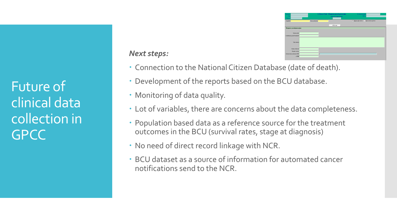#### *Next steps:*

- Connection to the National Citizen Database (date of death).
- Development of the reports based on the BCU database.
- Monitoring of data quality.
- Lot of variables, there are concerns about the data completeness.
- Population based data as a reference source for the treatment outcomes in the BCU (survival rates, stage at diagnosis)
- No need of direct record linkage with NCR.
- BCU dataset as a source of information for automated cancer notifications send to the NCR.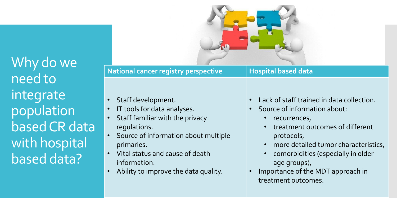Why do we need to integrate population based CR data with hospital based data?

### **National cancer registry perspective | Hospital based data**

- Staff development.
- IT tools for data analyses.
- Staff familiar with the privacy regulations.
- Source of information about multiple primaries.
- Vital status and cause of death information.
- Ability to improve the data quality.
- Lack of staff trained in data collection.
- Source of information about:
	- recurrences,
	- treatment outcomes of different protocols,
	- more detailed tumor characteristics,
	- comorbidities (especially in older age groups),
- Importance of the MDT approach in treatment outcomes.